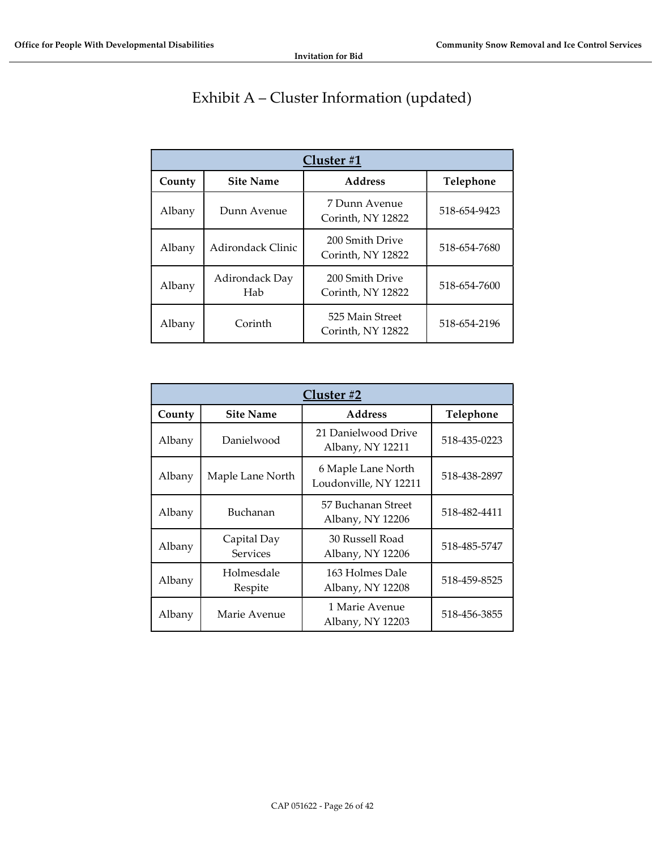## Exhibit A – Cluster Information (updated)

| Cluster#1 |                          |                                      |              |  |
|-----------|--------------------------|--------------------------------------|--------------|--|
| County    | <b>Site Name</b>         | <b>Address</b>                       | Telephone    |  |
| Albany    | Dunn Avenue              | 7 Dunn Avenue<br>Corinth, NY 12822   | 518-654-9423 |  |
| Albany    | <b>Adirondack Clinic</b> | 200 Smith Drive<br>Corinth, NY 12822 | 518-654-7680 |  |
| Albany    | Adirondack Day<br>Hab    | 200 Smith Drive<br>Corinth, NY 12822 | 518-654-7600 |  |
| Albany    | Corinth                  | 525 Main Street<br>Corinth, NY 12822 | 518-654-2196 |  |

|        | Cluster #2                     |                                             |              |  |  |
|--------|--------------------------------|---------------------------------------------|--------------|--|--|
| County | <b>Site Name</b>               | <b>Address</b>                              | Telephone    |  |  |
| Albany | Danielwood                     | 21 Danielwood Drive<br>Albany, NY 12211     | 518-435-0223 |  |  |
| Albany | Maple Lane North               | 6 Maple Lane North<br>Loudonville, NY 12211 | 518-438-2897 |  |  |
| Albany | Buchanan                       | 57 Buchanan Street<br>Albany, NY 12206      | 518-482-4411 |  |  |
| Albany | Capital Day<br><b>Services</b> | 30 Russell Road<br>Albany, NY 12206         | 518-485-5747 |  |  |
| Albany | Holmesdale<br>Respite          | 163 Holmes Dale<br>Albany, NY 12208         | 518-459-8525 |  |  |
| Albany | Marie Avenue                   | 1 Marie Avenue<br>Albany, NY 12203          | 518-456-3855 |  |  |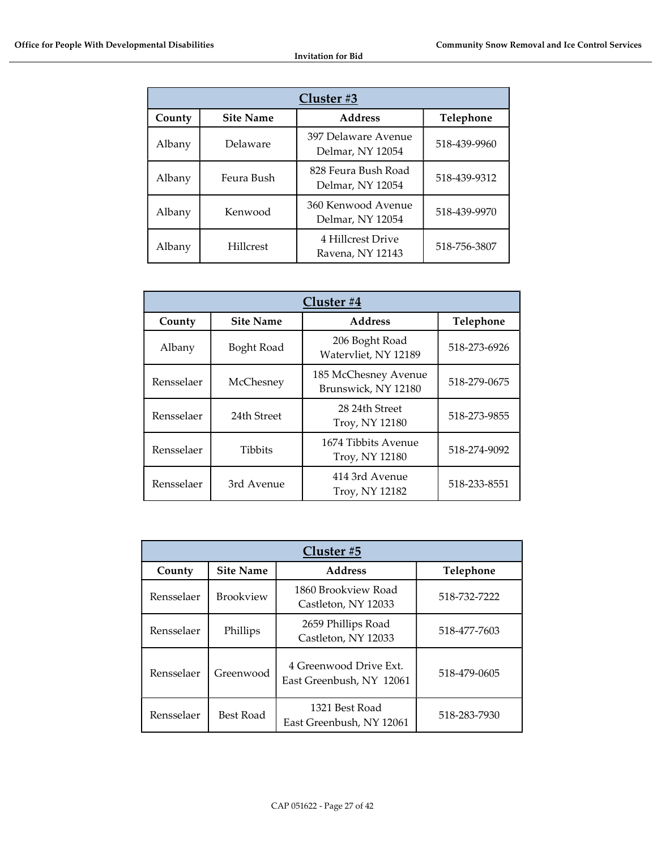| Cluster #3 |                  |                                         |              |  |
|------------|------------------|-----------------------------------------|--------------|--|
| County     | <b>Site Name</b> | <b>Address</b>                          | Telephone    |  |
| Albany     | Delaware         | 397 Delaware Avenue<br>Delmar, NY 12054 | 518-439-9960 |  |
| Albany     | Feura Bush       | 828 Feura Bush Road<br>Delmar, NY 12054 | 518-439-9312 |  |
| Albany     | Kenwood          | 360 Kenwood Avenue<br>Delmar, NY 12054  | 518-439-9970 |  |
| Albany     | <b>Hillcrest</b> | 4 Hillcrest Drive<br>Ravena, NY 12143   | 518-756-3807 |  |

| Cluster #4 |                  |                                             |              |  |
|------------|------------------|---------------------------------------------|--------------|--|
| County     | <b>Site Name</b> | <b>Address</b>                              | Telephone    |  |
| Albany     | Boght Road       | 206 Boght Road<br>Watervliet, NY 12189      | 518-273-6926 |  |
| Rensselaer | McChesney        | 185 McChesney Avenue<br>Brunswick, NY 12180 | 518-279-0675 |  |
| Rensselaer | 24th Street      | 28 24th Street<br>Troy, NY 12180            | 518-273-9855 |  |
| Rensselaer | <b>Tibbits</b>   | 1674 Tibbits Avenue<br>Troy, NY 12180       | 518-274-9092 |  |
| Rensselaer | 3rd Avenue       | 414 3rd Avenue<br>Troy, NY 12182            | 518-233-8551 |  |

| Cluster #5 |                  |                                                    |              |
|------------|------------------|----------------------------------------------------|--------------|
| County     | <b>Site Name</b> | <b>Address</b>                                     | Telephone    |
| Rensselaer | <b>Brookview</b> | 1860 Brookview Road<br>Castleton, NY 12033         | 518-732-7222 |
| Rensselaer | Phillips         | 2659 Phillips Road<br>Castleton, NY 12033          | 518-477-7603 |
| Rensselaer | Greenwood        | 4 Greenwood Drive Ext.<br>East Greenbush, NY 12061 | 518-479-0605 |
| Rensselaer | Best Road        | 1321 Best Road<br>East Greenbush, NY 12061         | 518-283-7930 |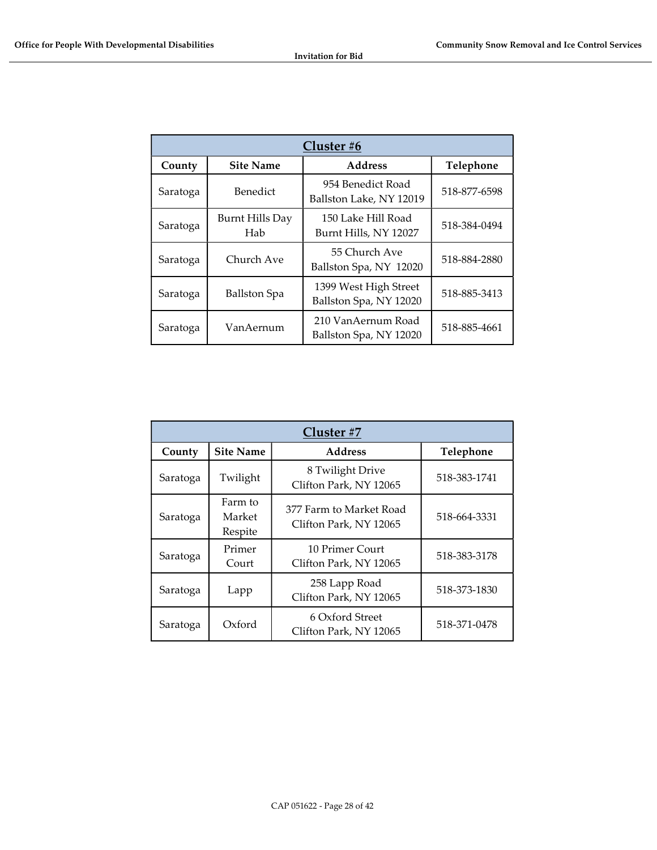| Cluster #6 |                               |                                                 |              |  |
|------------|-------------------------------|-------------------------------------------------|--------------|--|
| County     | <b>Site Name</b>              | <b>Address</b>                                  | Telephone    |  |
| Saratoga   | Benedict                      | 954 Benedict Road<br>Ballston Lake, NY 12019    | 518-877-6598 |  |
| Saratoga   | <b>Burnt Hills Day</b><br>Hab | 150 Lake Hill Road<br>Burnt Hills, NY 12027     | 518-384-0494 |  |
| Saratoga   | Church Ave                    | 55 Church Ave<br>Ballston Spa, NY 12020         | 518-884-2880 |  |
| Saratoga   | <b>Ballston</b> Spa           | 1399 West High Street<br>Ballston Spa, NY 12020 | 518-885-3413 |  |
| Saratoga   | VanAernum                     | 210 VanAernum Road<br>Ballston Spa, NY 12020    | 518-885-4661 |  |

| Cluster #7 |                              |                                                   |              |  |
|------------|------------------------------|---------------------------------------------------|--------------|--|
| County     | <b>Site Name</b>             | <b>Address</b>                                    | Telephone    |  |
| Saratoga   | Twilight                     | 8 Twilight Drive<br>Clifton Park, NY 12065        | 518-383-1741 |  |
| Saratoga   | Farm to<br>Market<br>Respite | 377 Farm to Market Road<br>Clifton Park, NY 12065 | 518-664-3331 |  |
| Saratoga   | Primer<br>Court              | 10 Primer Court<br>Clifton Park, NY 12065         | 518-383-3178 |  |
| Saratoga   | Lapp                         | 258 Lapp Road<br>Clifton Park, NY 12065           | 518-373-1830 |  |
| Saratoga   | Oxford                       | 6 Oxford Street<br>Clifton Park, NY 12065         | 518-371-0478 |  |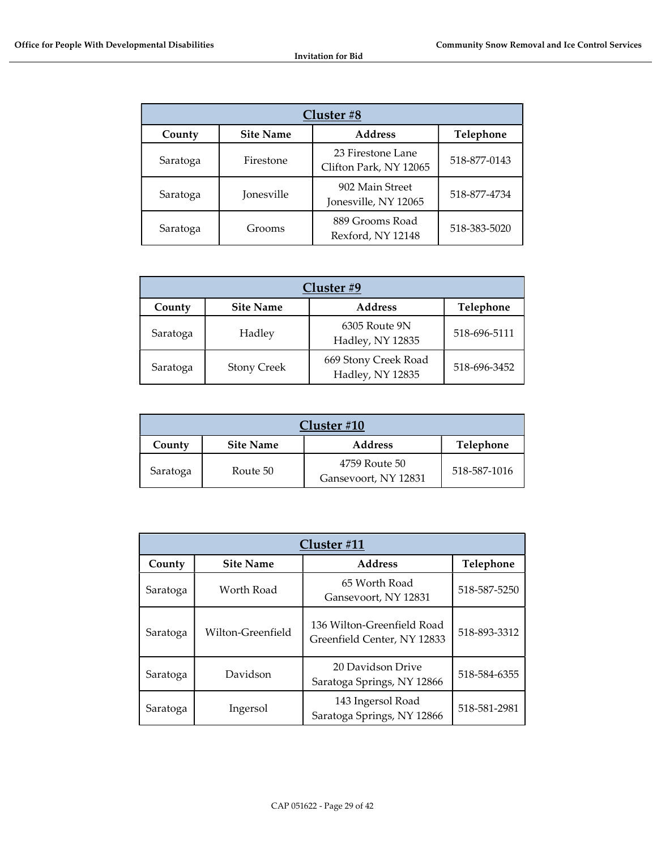| Cluster #8 |                  |                                             |              |  |
|------------|------------------|---------------------------------------------|--------------|--|
| County     | <b>Site Name</b> | <b>Address</b>                              | Telephone    |  |
| Saratoga   | Firestone        | 23 Firestone Lane<br>Clifton Park, NY 12065 | 518-877-0143 |  |
| Saratoga   | Jonesville       | 902 Main Street<br>Jonesville, NY 12065     | 518-877-4734 |  |
| Saratoga   | Grooms           | 889 Grooms Road<br>Rexford, NY 12148        | 518-383-5020 |  |

| Cluster #9 |                    |                                          |              |
|------------|--------------------|------------------------------------------|--------------|
| County     | <b>Site Name</b>   | <b>Address</b>                           | Telephone    |
| Saratoga   | Hadley             | 6305 Route 9N<br>Hadley, NY 12835        | 518-696-5111 |
| Saratoga   | <b>Stony Creek</b> | 669 Stony Creek Road<br>Hadley, NY 12835 | 518-696-3452 |

| Cluster #10 |                |                                       |              |  |
|-------------|----------------|---------------------------------------|--------------|--|
| County      | <b>Address</b> | Telephone                             |              |  |
| Saratoga    | Route 50       | 4759 Route 50<br>Gansevoort, NY 12831 | 518-587-1016 |  |

| Cluster #11 |                   |                                                           |              |  |
|-------------|-------------------|-----------------------------------------------------------|--------------|--|
| County      | <b>Site Name</b>  | <b>Address</b>                                            | Telephone    |  |
| Saratoga    | Worth Road        | 65 Worth Road<br>Gansevoort, NY 12831                     | 518-587-5250 |  |
| Saratoga    | Wilton-Greenfield | 136 Wilton-Greenfield Road<br>Greenfield Center, NY 12833 | 518-893-3312 |  |
| Saratoga    | Davidson          | 20 Davidson Drive<br>Saratoga Springs, NY 12866           | 518-584-6355 |  |
| Saratoga    | Ingersol          | 143 Ingersol Road<br>Saratoga Springs, NY 12866           | 518-581-2981 |  |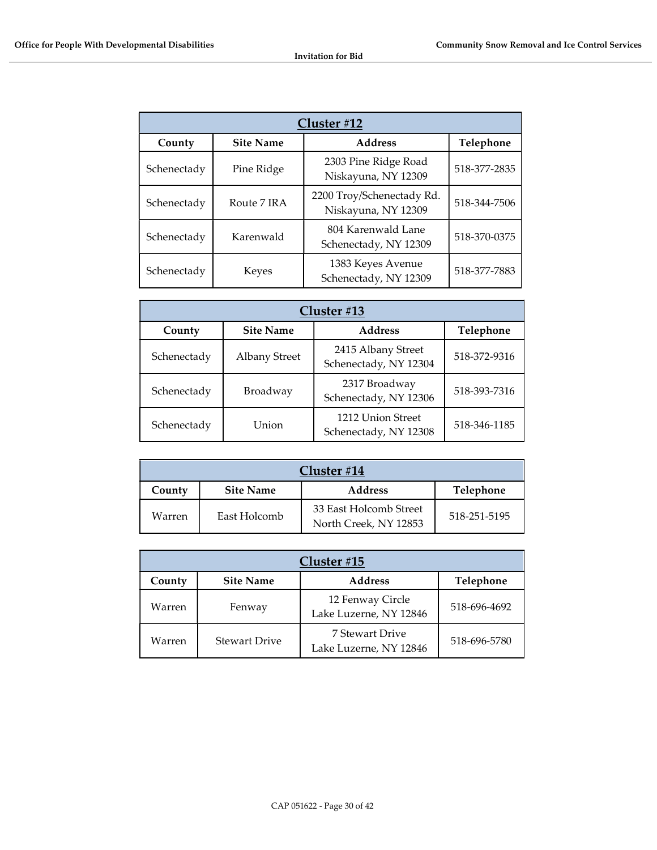| Cluster #12 |                  |                                                  |              |  |
|-------------|------------------|--------------------------------------------------|--------------|--|
| County      | <b>Site Name</b> | <b>Address</b>                                   | Telephone    |  |
| Schenectady | Pine Ridge       | 2303 Pine Ridge Road<br>Niskayuna, NY 12309      | 518-377-2835 |  |
| Schenectady | Route 7 IRA      | 2200 Troy/Schenectady Rd.<br>Niskayuna, NY 12309 | 518-344-7506 |  |
| Schenectady | Karenwald        | 804 Karenwald Lane<br>Schenectady, NY 12309      | 518-370-0375 |  |
| Schenectady | Keyes            | 1383 Keyes Avenue<br>Schenectady, NY 12309       | 518-377-7883 |  |

| Cluster #13                                               |                      |                                             |              |
|-----------------------------------------------------------|----------------------|---------------------------------------------|--------------|
| <b>Address</b><br>Telephone<br><b>Site Name</b><br>County |                      |                                             |              |
| Schenectady                                               | <b>Albany Street</b> | 2415 Albany Street<br>Schenectady, NY 12304 | 518-372-9316 |
| Schenectady                                               | Broadway             | 2317 Broadway<br>Schenectady, NY 12306      | 518-393-7316 |
| Schenectady                                               | Union                | 1212 Union Street<br>Schenectady, NY 12308  | 518-346-1185 |

| Cluster $#14$                                             |              |                                                 |              |
|-----------------------------------------------------------|--------------|-------------------------------------------------|--------------|
| Telephone<br><b>Site Name</b><br><b>Address</b><br>County |              |                                                 |              |
| Warren                                                    | East Holcomb | 33 East Holcomb Street<br>North Creek, NY 12853 | 518-251-5195 |

| Cluster #15                                               |                      |                                            |              |
|-----------------------------------------------------------|----------------------|--------------------------------------------|--------------|
| Telephone<br><b>Address</b><br><b>Site Name</b><br>County |                      |                                            |              |
| Warren                                                    | Fenway               | 12 Fenway Circle<br>Lake Luzerne, NY 12846 | 518-696-4692 |
| Warren                                                    | <b>Stewart Drive</b> | 7 Stewart Drive<br>Lake Luzerne, NY 12846  | 518-696-5780 |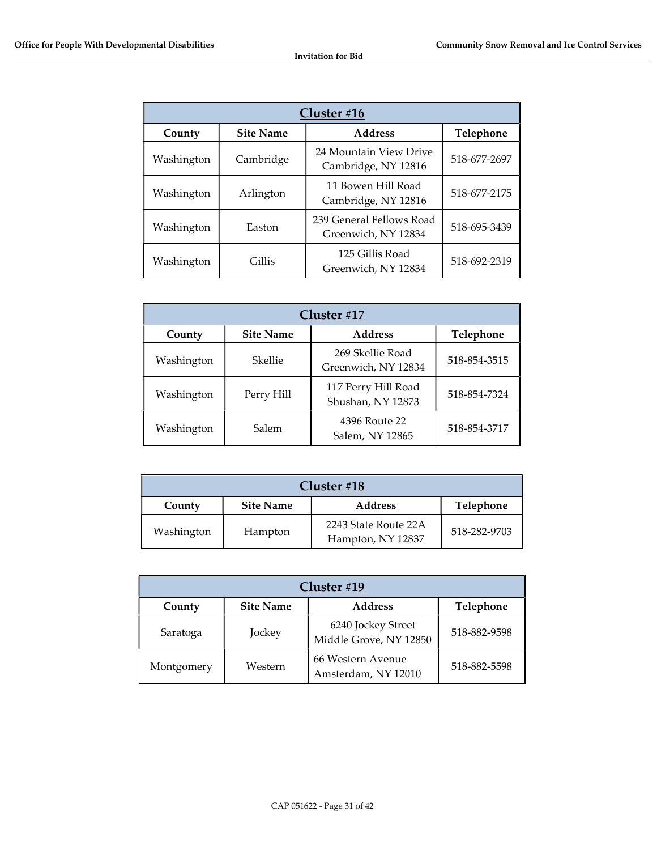| Cluster #16                                  |           |                                                 |              |
|----------------------------------------------|-----------|-------------------------------------------------|--------------|
| <b>Address</b><br><b>Site Name</b><br>County |           | Telephone                                       |              |
| Washington                                   | Cambridge | 24 Mountain View Drive<br>Cambridge, NY 12816   | 518-677-2697 |
| Washington                                   | Arlington | 11 Bowen Hill Road<br>Cambridge, NY 12816       | 518-677-2175 |
| Washington                                   | Easton    | 239 General Fellows Road<br>Greenwich, NY 12834 | 518-695-3439 |
| Washington                                   | Gillis    | 125 Gillis Road<br>Greenwich, NY 12834          | 518-692-2319 |

| Cluster #17                                               |            |                                          |              |
|-----------------------------------------------------------|------------|------------------------------------------|--------------|
| <b>Address</b><br>Telephone<br><b>Site Name</b><br>County |            |                                          |              |
| Washington                                                | Skellie    | 269 Skellie Road<br>Greenwich, NY 12834  | 518-854-3515 |
| Washington                                                | Perry Hill | 117 Perry Hill Road<br>Shushan, NY 12873 | 518-854-7324 |
| Washington                                                | Salem      | 4396 Route 22<br>Salem, NY 12865         | 518-854-3717 |

| Cluster #18                                               |         |                                           |              |
|-----------------------------------------------------------|---------|-------------------------------------------|--------------|
| Telephone<br><b>Site Name</b><br><b>Address</b><br>County |         |                                           |              |
| Washington                                                | Hampton | 2243 State Route 22A<br>Hampton, NY 12837 | 518-282-9703 |

| Cluster #19                                               |         |                                              |              |
|-----------------------------------------------------------|---------|----------------------------------------------|--------------|
| Telephone<br><b>Address</b><br><b>Site Name</b><br>County |         |                                              |              |
| Saratoga                                                  | Jockey  | 6240 Jockey Street<br>Middle Grove, NY 12850 | 518-882-9598 |
| Montgomery                                                | Western | 66 Western Avenue<br>Amsterdam, NY 12010     | 518-882-5598 |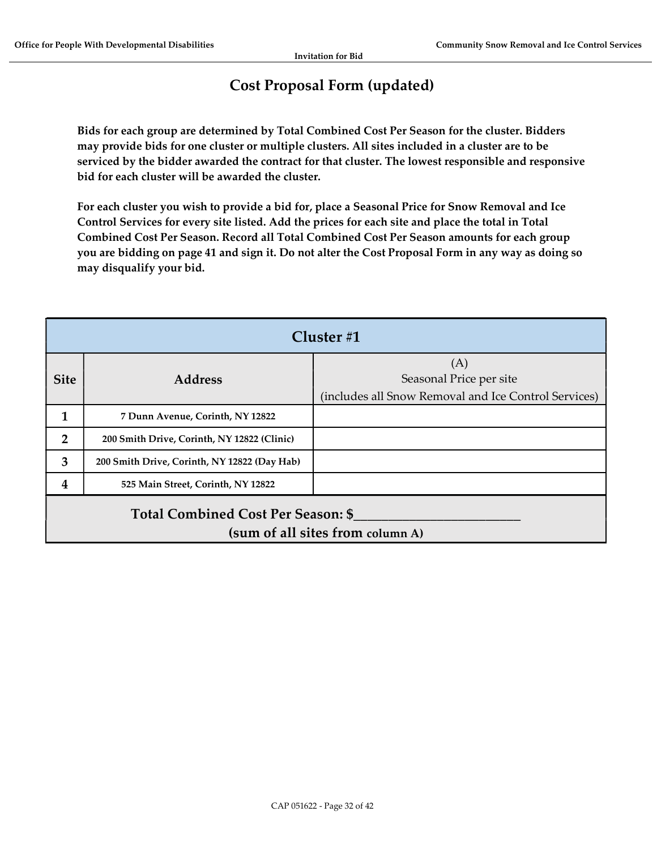## Cost Proposal Form (updated)

Bids for each group are determined by Total Combined Cost Per Season for the cluster. Bidders may provide bids for one cluster or multiple clusters. All sites included in a cluster are to be serviced by the bidder awarded the contract for that cluster. The lowest responsible and responsive bid for each cluster will be awarded the cluster.

For each cluster you wish to provide a bid for, place a Seasonal Price for Snow Removal and Ice Control Services for every site listed. Add the prices for each site and place the total in Total Combined Cost Per Season. Record all Total Combined Cost Per Season amounts for each group you are bidding on page 41 and sign it. Do not alter the Cost Proposal Form in any way as doing so may disqualify your bid.

|                                                                               | Cluster#1                                    |                                                                                        |  |
|-------------------------------------------------------------------------------|----------------------------------------------|----------------------------------------------------------------------------------------|--|
| <b>Site</b>                                                                   | <b>Address</b>                               | (A)<br>Seasonal Price per site<br>(includes all Snow Removal and Ice Control Services) |  |
|                                                                               | 7 Dunn Avenue, Corinth, NY 12822             |                                                                                        |  |
| $\overline{2}$                                                                | 200 Smith Drive, Corinth, NY 12822 (Clinic)  |                                                                                        |  |
| 3                                                                             | 200 Smith Drive, Corinth, NY 12822 (Day Hab) |                                                                                        |  |
| 4                                                                             | 525 Main Street, Corinth, NY 12822           |                                                                                        |  |
| <b>Total Combined Cost Per Season: \$</b><br>(sum of all sites from column A) |                                              |                                                                                        |  |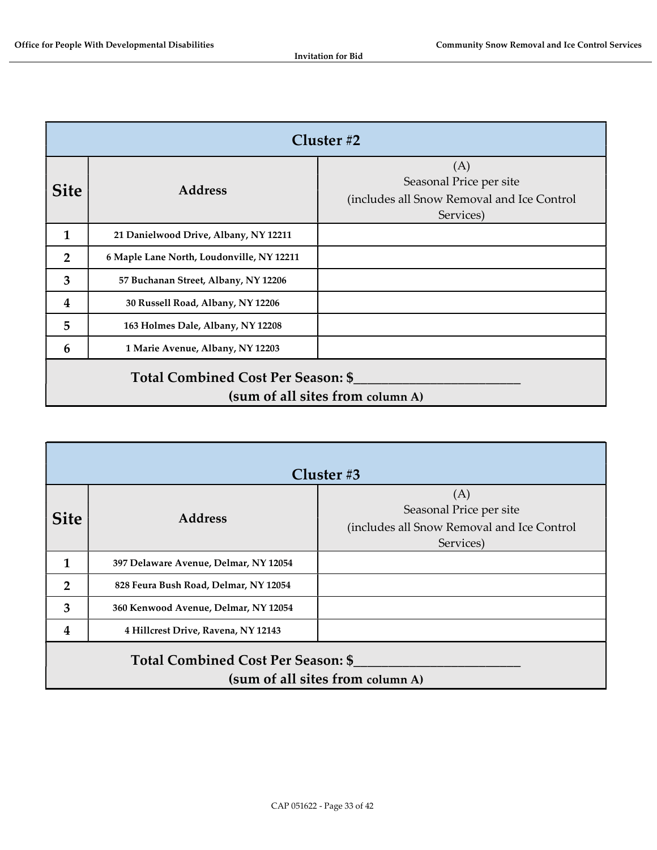|                                                                        | Cluster $#2$                              |                                                                                           |  |
|------------------------------------------------------------------------|-------------------------------------------|-------------------------------------------------------------------------------------------|--|
| <b>Site</b>                                                            | <b>Address</b>                            | (A)<br>Seasonal Price per site<br>(includes all Snow Removal and Ice Control<br>Services) |  |
| 1                                                                      | 21 Danielwood Drive, Albany, NY 12211     |                                                                                           |  |
| $\overline{2}$                                                         | 6 Maple Lane North, Loudonville, NY 12211 |                                                                                           |  |
| 3                                                                      | 57 Buchanan Street, Albany, NY 12206      |                                                                                           |  |
| 4                                                                      | 30 Russell Road, Albany, NY 12206         |                                                                                           |  |
| 5                                                                      | 163 Holmes Dale, Albany, NY 12208         |                                                                                           |  |
| 6                                                                      | 1 Marie Avenue, Albany, NY 12203          |                                                                                           |  |
| Total Combined Cost Per Season: \$<br>(sum of all sites from column A) |                                           |                                                                                           |  |

|                                                                        | Cluster #3                            |                                                                                           |  |
|------------------------------------------------------------------------|---------------------------------------|-------------------------------------------------------------------------------------------|--|
| <b>Site</b>                                                            | <b>Address</b>                        | (A)<br>Seasonal Price per site<br>(includes all Snow Removal and Ice Control<br>Services) |  |
| 1                                                                      | 397 Delaware Avenue, Delmar, NY 12054 |                                                                                           |  |
| $\mathcal{P}$                                                          | 828 Feura Bush Road, Delmar, NY 12054 |                                                                                           |  |
| 3                                                                      | 360 Kenwood Avenue, Delmar, NY 12054  |                                                                                           |  |
| 4                                                                      | 4 Hillcrest Drive, Ravena, NY 12143   |                                                                                           |  |
| Total Combined Cost Per Season: \$<br>(sum of all sites from column A) |                                       |                                                                                           |  |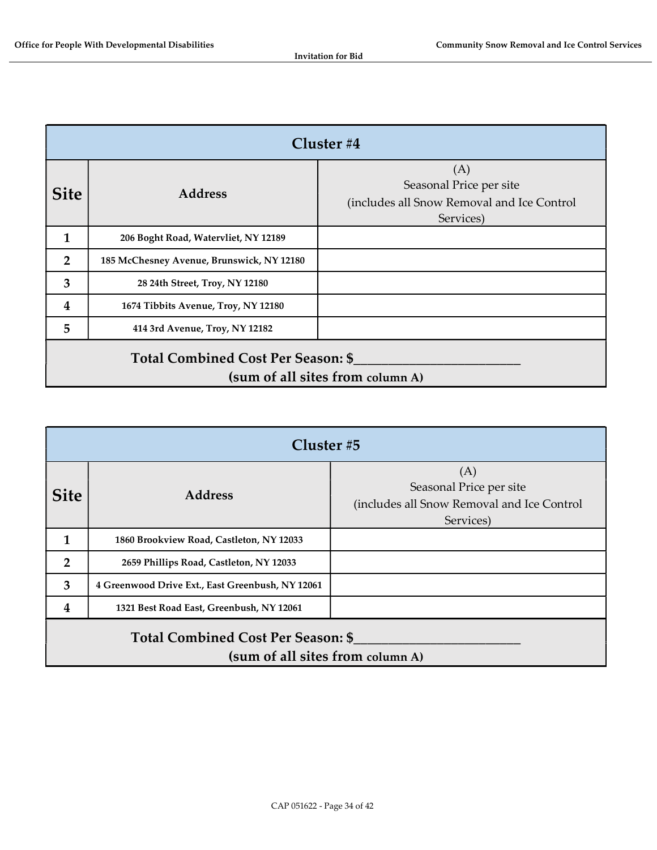|                                                                               | Cluster $#4$                              |                                                                                           |  |
|-------------------------------------------------------------------------------|-------------------------------------------|-------------------------------------------------------------------------------------------|--|
| <b>Site</b>                                                                   | <b>Address</b>                            | (A)<br>Seasonal Price per site<br>(includes all Snow Removal and Ice Control<br>Services) |  |
| 1                                                                             | 206 Boght Road, Watervliet, NY 12189      |                                                                                           |  |
| $\overline{2}$                                                                | 185 McChesney Avenue, Brunswick, NY 12180 |                                                                                           |  |
| 3                                                                             | 28 24th Street, Troy, NY 12180            |                                                                                           |  |
| 4                                                                             | 1674 Tibbits Avenue, Troy, NY 12180       |                                                                                           |  |
| 5                                                                             | 414 3rd Avenue, Troy, NY 12182            |                                                                                           |  |
| <b>Total Combined Cost Per Season: \$</b><br>(sum of all sites from column A) |                                           |                                                                                           |  |

|                                                                        | Cluster #5                                       |                                                                                           |  |  |
|------------------------------------------------------------------------|--------------------------------------------------|-------------------------------------------------------------------------------------------|--|--|
| <b>Site</b>                                                            | <b>Address</b>                                   | (A)<br>Seasonal Price per site<br>(includes all Snow Removal and Ice Control<br>Services) |  |  |
| 1                                                                      | 1860 Brookview Road, Castleton, NY 12033         |                                                                                           |  |  |
| $\overline{2}$                                                         | 2659 Phillips Road, Castleton, NY 12033          |                                                                                           |  |  |
| 3                                                                      | 4 Greenwood Drive Ext., East Greenbush, NY 12061 |                                                                                           |  |  |
| 4                                                                      | 1321 Best Road East, Greenbush, NY 12061         |                                                                                           |  |  |
| Total Combined Cost Per Season: \$<br>(sum of all sites from column A) |                                                  |                                                                                           |  |  |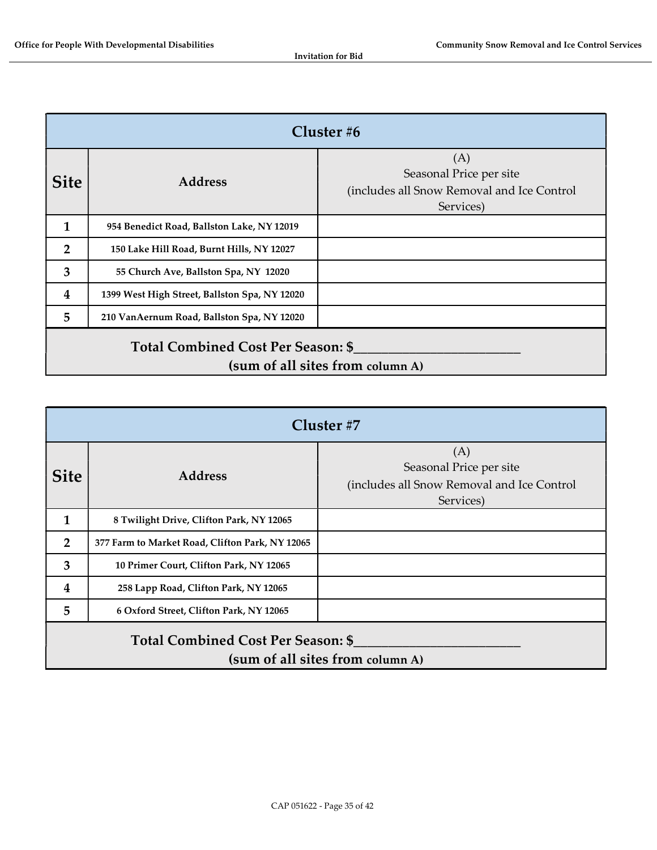| Cluster $#6$                                                                  |                                               |                                                                                           |
|-------------------------------------------------------------------------------|-----------------------------------------------|-------------------------------------------------------------------------------------------|
| <b>Site</b>                                                                   | <b>Address</b>                                | (A)<br>Seasonal Price per site<br>(includes all Snow Removal and Ice Control<br>Services) |
| 1                                                                             | 954 Benedict Road, Ballston Lake, NY 12019    |                                                                                           |
| 2                                                                             | 150 Lake Hill Road, Burnt Hills, NY 12027     |                                                                                           |
| 3                                                                             | 55 Church Ave, Ballston Spa, NY 12020         |                                                                                           |
| $\overline{\mathbf{4}}$                                                       | 1399 West High Street, Ballston Spa, NY 12020 |                                                                                           |
| 5                                                                             | 210 VanAernum Road, Ballston Spa, NY 12020    |                                                                                           |
| <b>Total Combined Cost Per Season: \$</b><br>(sum of all sites from column A) |                                               |                                                                                           |

| Cluster #7                                                                    |                                                 |                                                                                           |
|-------------------------------------------------------------------------------|-------------------------------------------------|-------------------------------------------------------------------------------------------|
| <b>Site</b>                                                                   | <b>Address</b>                                  | (A)<br>Seasonal Price per site<br>(includes all Snow Removal and Ice Control<br>Services) |
| 1                                                                             | 8 Twilight Drive, Clifton Park, NY 12065        |                                                                                           |
| $\overline{2}$                                                                | 377 Farm to Market Road, Clifton Park, NY 12065 |                                                                                           |
| 3                                                                             | 10 Primer Court, Clifton Park, NY 12065         |                                                                                           |
| 4                                                                             | 258 Lapp Road, Clifton Park, NY 12065           |                                                                                           |
| 5                                                                             | 6 Oxford Street, Clifton Park, NY 12065         |                                                                                           |
| <b>Total Combined Cost Per Season: \$</b><br>(sum of all sites from column A) |                                                 |                                                                                           |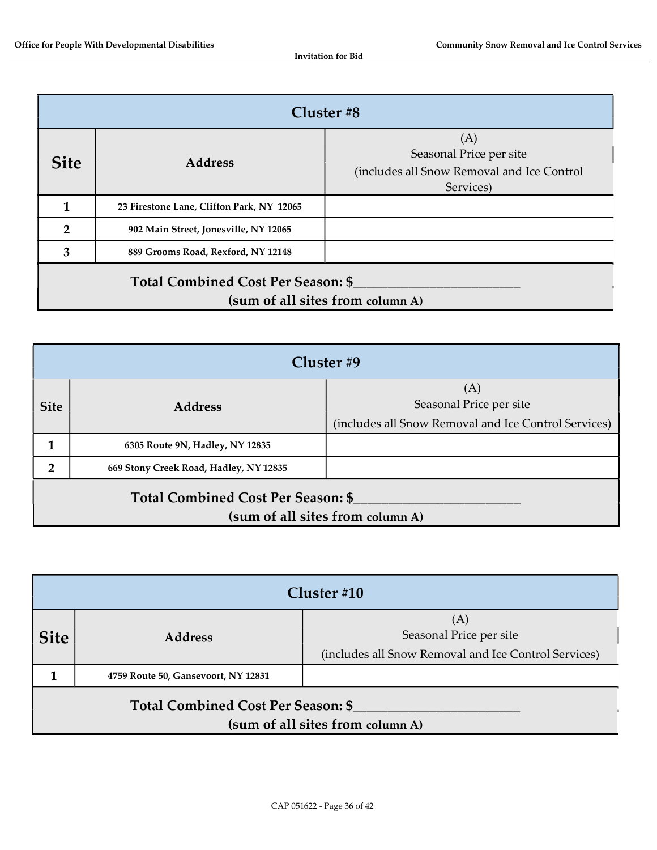| Cluster #8                                                             |                                           |                                                                                           |
|------------------------------------------------------------------------|-------------------------------------------|-------------------------------------------------------------------------------------------|
| <b>Site</b>                                                            | <b>Address</b>                            | (A)<br>Seasonal Price per site<br>(includes all Snow Removal and Ice Control<br>Services) |
|                                                                        | 23 Firestone Lane, Clifton Park, NY 12065 |                                                                                           |
| $\overline{2}$                                                         | 902 Main Street, Jonesville, NY 12065     |                                                                                           |
| 3                                                                      | 889 Grooms Road, Rexford, NY 12148        |                                                                                           |
| Total Combined Cost Per Season: \$<br>(sum of all sites from column A) |                                           |                                                                                           |

| Cluster #9                                                             |                                        |                                                                                        |
|------------------------------------------------------------------------|----------------------------------------|----------------------------------------------------------------------------------------|
| <b>Site</b>                                                            | <b>Address</b>                         | (A)<br>Seasonal Price per site<br>(includes all Snow Removal and Ice Control Services) |
|                                                                        | 6305 Route 9N, Hadley, NY 12835        |                                                                                        |
| 2                                                                      | 669 Stony Creek Road, Hadley, NY 12835 |                                                                                        |
| Total Combined Cost Per Season: \$<br>(sum of all sites from column A) |                                        |                                                                                        |

| Cluster #10                                                            |                                     |                                                                                        |
|------------------------------------------------------------------------|-------------------------------------|----------------------------------------------------------------------------------------|
| <b>Site</b>                                                            | <b>Address</b>                      | (A)<br>Seasonal Price per site<br>(includes all Snow Removal and Ice Control Services) |
|                                                                        | 4759 Route 50, Gansevoort, NY 12831 |                                                                                        |
| Total Combined Cost Per Season: \$<br>(sum of all sites from column A) |                                     |                                                                                        |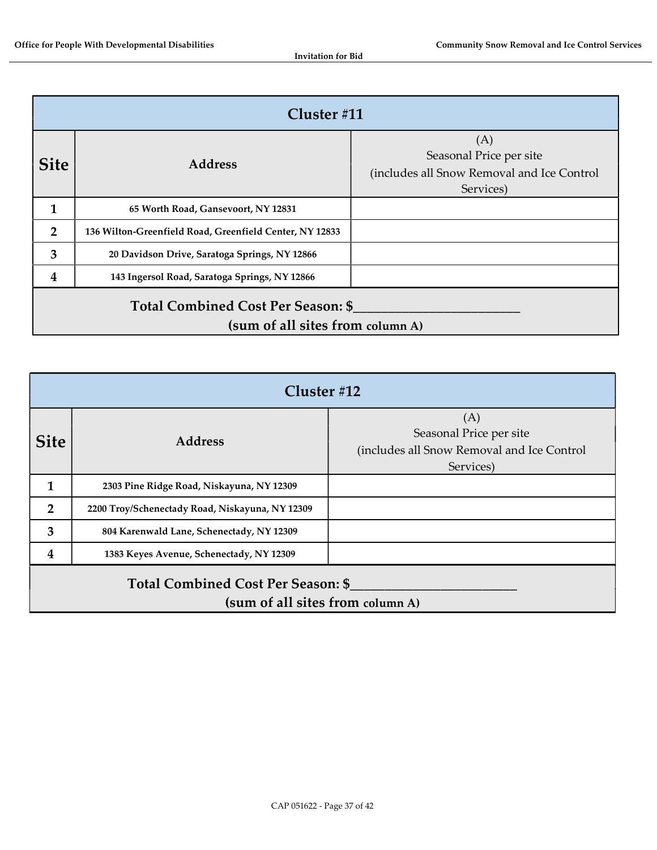| Cluster $\#11$                                                                |                                                         |                                                                                           |
|-------------------------------------------------------------------------------|---------------------------------------------------------|-------------------------------------------------------------------------------------------|
| <b>Site</b>                                                                   | <b>Address</b>                                          | (A)<br>Seasonal Price per site<br>(includes all Snow Removal and Ice Control<br>Services) |
| 1                                                                             | 65 Worth Road, Gansevoort, NY 12831                     |                                                                                           |
| $\overline{2}$                                                                | 136 Wilton-Greenfield Road, Greenfield Center, NY 12833 |                                                                                           |
| 3                                                                             | 20 Davidson Drive, Saratoga Springs, NY 12866           |                                                                                           |
| 4                                                                             | 143 Ingersol Road, Saratoga Springs, NY 12866           |                                                                                           |
| <b>Total Combined Cost Per Season: \$</b><br>(sum of all sites from column A) |                                                         |                                                                                           |

| Cluster $#12$                                                          |                                                 |                                                                                           |
|------------------------------------------------------------------------|-------------------------------------------------|-------------------------------------------------------------------------------------------|
| <b>Site</b>                                                            | <b>Address</b>                                  | (A)<br>Seasonal Price per site<br>(includes all Snow Removal and Ice Control<br>Services) |
| 1                                                                      | 2303 Pine Ridge Road, Niskayuna, NY 12309       |                                                                                           |
| $\overline{2}$                                                         | 2200 Troy/Schenectady Road, Niskayuna, NY 12309 |                                                                                           |
| 3                                                                      | 804 Karenwald Lane, Schenectady, NY 12309       |                                                                                           |
| 4                                                                      | 1383 Keyes Avenue, Schenectady, NY 12309        |                                                                                           |
| Total Combined Cost Per Season: \$<br>(sum of all sites from column A) |                                                 |                                                                                           |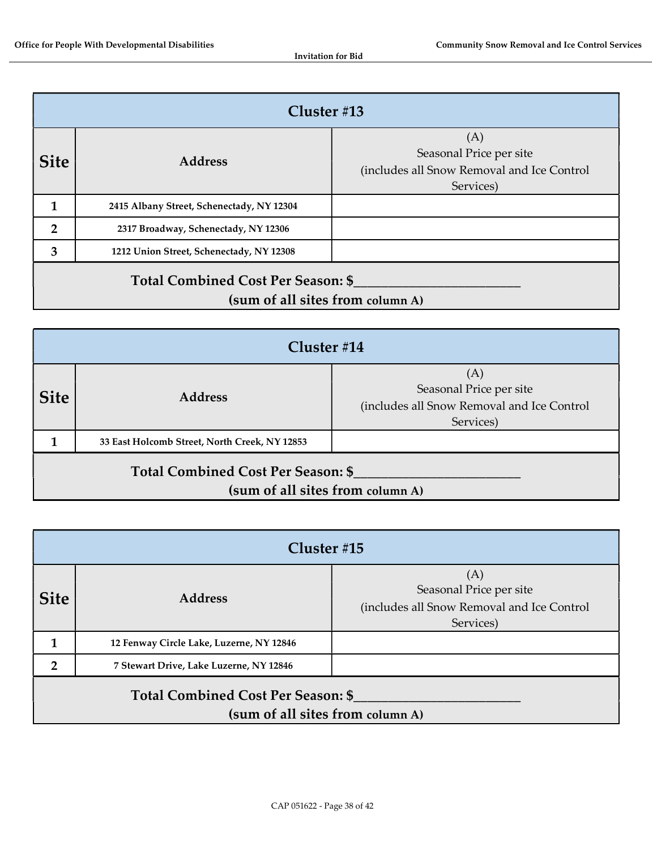| Cluster #13                                                            |                                           |                                                                                           |
|------------------------------------------------------------------------|-------------------------------------------|-------------------------------------------------------------------------------------------|
| <b>Site</b>                                                            | <b>Address</b>                            | (A)<br>Seasonal Price per site<br>(includes all Snow Removal and Ice Control<br>Services) |
|                                                                        | 2415 Albany Street, Schenectady, NY 12304 |                                                                                           |
| $\mathbf{2}$                                                           | 2317 Broadway, Schenectady, NY 12306      |                                                                                           |
| 3                                                                      | 1212 Union Street, Schenectady, NY 12308  |                                                                                           |
| Total Combined Cost Per Season: \$<br>(sum of all sites from column A) |                                           |                                                                                           |

| Cluster $\#14$                                                         |                                               |                                                                                           |
|------------------------------------------------------------------------|-----------------------------------------------|-------------------------------------------------------------------------------------------|
| <b>Site</b>                                                            | <b>Address</b>                                | (A)<br>Seasonal Price per site<br>(includes all Snow Removal and Ice Control<br>Services) |
|                                                                        | 33 East Holcomb Street, North Creek, NY 12853 |                                                                                           |
| Total Combined Cost Per Season: \$<br>(sum of all sites from column A) |                                               |                                                                                           |

| Cluster #15                                                            |                                          |                                                                                           |
|------------------------------------------------------------------------|------------------------------------------|-------------------------------------------------------------------------------------------|
| <b>Site</b>                                                            | <b>Address</b>                           | (A)<br>Seasonal Price per site<br>(includes all Snow Removal and Ice Control<br>Services) |
|                                                                        | 12 Fenway Circle Lake, Luzerne, NY 12846 |                                                                                           |
| ר                                                                      | 7 Stewart Drive, Lake Luzerne, NY 12846  |                                                                                           |
| Total Combined Cost Per Season: \$<br>(sum of all sites from column A) |                                          |                                                                                           |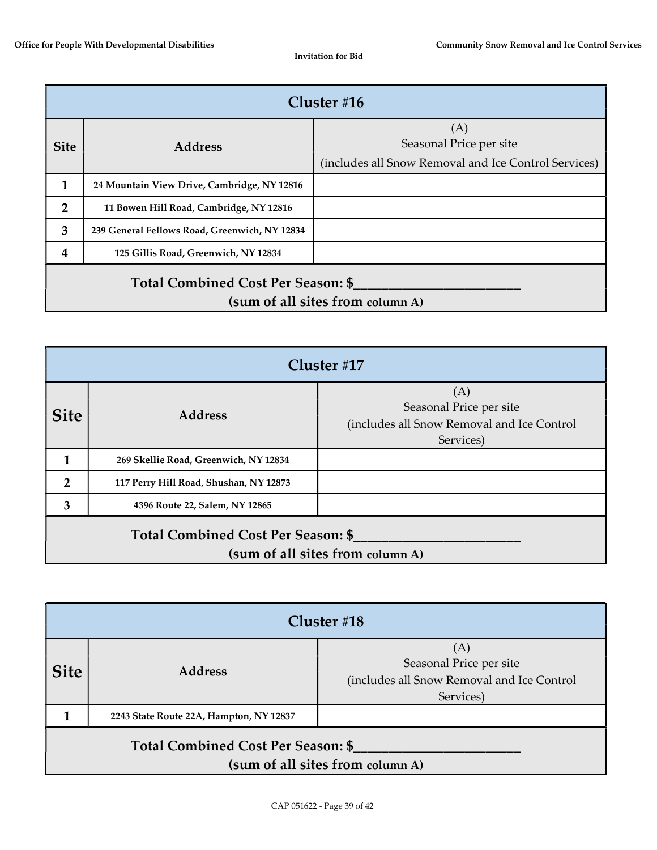|                                                                        | Cluster $#16$                                 |                                                                                        |  |
|------------------------------------------------------------------------|-----------------------------------------------|----------------------------------------------------------------------------------------|--|
| <b>Site</b>                                                            | <b>Address</b>                                | (A)<br>Seasonal Price per site<br>(includes all Snow Removal and Ice Control Services) |  |
| 1                                                                      | 24 Mountain View Drive, Cambridge, NY 12816   |                                                                                        |  |
| $\overline{2}$                                                         | 11 Bowen Hill Road, Cambridge, NY 12816       |                                                                                        |  |
| 3                                                                      | 239 General Fellows Road, Greenwich, NY 12834 |                                                                                        |  |
| 4                                                                      | 125 Gillis Road, Greenwich, NY 12834          |                                                                                        |  |
| Total Combined Cost Per Season: \$<br>(sum of all sites from column A) |                                               |                                                                                        |  |

| Cluster #17                                                                   |                                        |                                                                                           |
|-------------------------------------------------------------------------------|----------------------------------------|-------------------------------------------------------------------------------------------|
| <b>Site</b>                                                                   | <b>Address</b>                         | (A)<br>Seasonal Price per site<br>(includes all Snow Removal and Ice Control<br>Services) |
|                                                                               | 269 Skellie Road, Greenwich, NY 12834  |                                                                                           |
| $\overline{2}$                                                                | 117 Perry Hill Road, Shushan, NY 12873 |                                                                                           |
| 3                                                                             | 4396 Route 22, Salem, NY 12865         |                                                                                           |
| <b>Total Combined Cost Per Season: \$</b><br>(sum of all sites from column A) |                                        |                                                                                           |

| Cluster $#18$                                                          |                                         |                                                                                           |  |  |
|------------------------------------------------------------------------|-----------------------------------------|-------------------------------------------------------------------------------------------|--|--|
| <b>Site</b>                                                            | <b>Address</b>                          | (A)<br>Seasonal Price per site<br>(includes all Snow Removal and Ice Control<br>Services) |  |  |
|                                                                        | 2243 State Route 22A, Hampton, NY 12837 |                                                                                           |  |  |
| Total Combined Cost Per Season: \$<br>(sum of all sites from column A) |                                         |                                                                                           |  |  |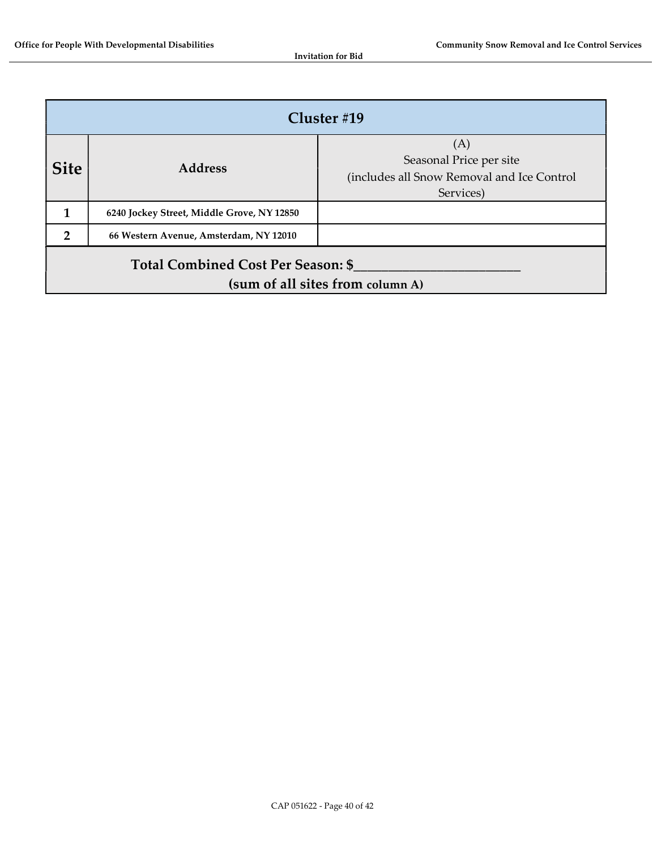| Cluster #19                                                                   |                                            |                                                                                           |  |  |
|-------------------------------------------------------------------------------|--------------------------------------------|-------------------------------------------------------------------------------------------|--|--|
| <b>Site</b>                                                                   | <b>Address</b>                             | (A)<br>Seasonal Price per site<br>(includes all Snow Removal and Ice Control<br>Services) |  |  |
|                                                                               | 6240 Jockey Street, Middle Grove, NY 12850 |                                                                                           |  |  |
| $\overline{2}$                                                                | 66 Western Avenue, Amsterdam, NY 12010     |                                                                                           |  |  |
| <b>Total Combined Cost Per Season: \$</b><br>(sum of all sites from column A) |                                            |                                                                                           |  |  |